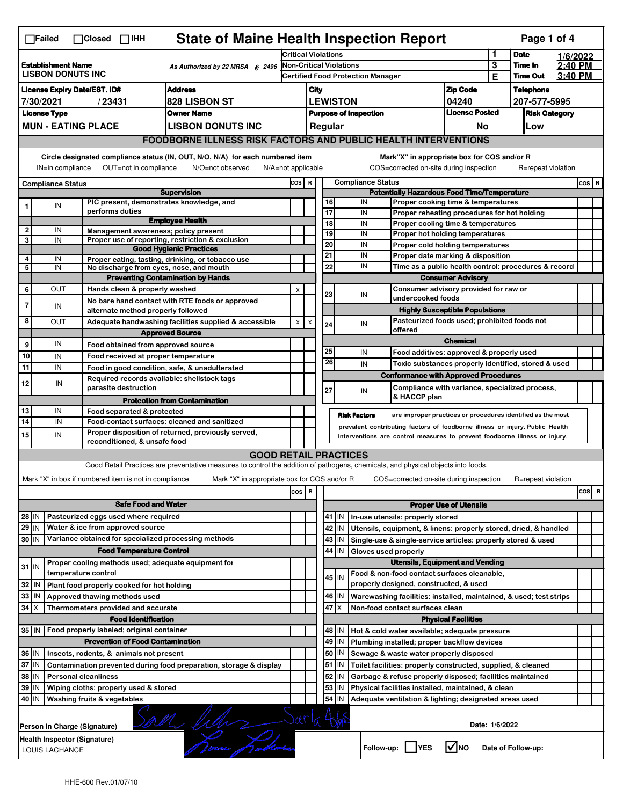|                                                                                              | <b>State of Maine Health Inspection Report</b><br>Page 1 of 4<br>$\Box$ Failed<br>$\Box$ Closed<br>$\Box$ IHH                                                                                                                                                                                                                                                  |                             |                                                       |                                                                                                                                   |                                                                                         |                                                                               |          |                                                                                                                 |                                                                                              |                                                                                  |                            |                    |                                  |  |          |
|----------------------------------------------------------------------------------------------|----------------------------------------------------------------------------------------------------------------------------------------------------------------------------------------------------------------------------------------------------------------------------------------------------------------------------------------------------------------|-----------------------------|-------------------------------------------------------|-----------------------------------------------------------------------------------------------------------------------------------|-----------------------------------------------------------------------------------------|-------------------------------------------------------------------------------|----------|-----------------------------------------------------------------------------------------------------------------|----------------------------------------------------------------------------------------------|----------------------------------------------------------------------------------|----------------------------|--------------------|----------------------------------|--|----------|
|                                                                                              |                                                                                                                                                                                                                                                                                                                                                                |                             |                                                       |                                                                                                                                   | <b>Critical Violations</b>                                                              |                                                                               |          |                                                                                                                 |                                                                                              |                                                                                  | 1                          | <b>Date</b>        | 1/6/2022                         |  |          |
| <b>Establishment Name</b><br>As Authorized by 22 MRSA § 2496<br><b>LISBON DONUTS INC</b>     |                                                                                                                                                                                                                                                                                                                                                                |                             |                                                       |                                                                                                                                   | <b>Non-Critical Violations</b>                                                          |                                                                               |          |                                                                                                                 |                                                                                              | 3                                                                                | Time In<br><b>Time Out</b> | 2:40 PM<br>3:40 PM |                                  |  |          |
| <b>License Expiry Date/EST. ID#</b><br><b>Address</b>                                        |                                                                                                                                                                                                                                                                                                                                                                |                             |                                                       |                                                                                                                                   |                                                                                         | <b>Certified Food Protection Manager</b>                                      |          |                                                                                                                 |                                                                                              |                                                                                  | <b>Zip Code</b>            | Е                  |                                  |  |          |
| <b>828 LISBON ST</b><br>7/30/2021<br>/23431                                                  |                                                                                                                                                                                                                                                                                                                                                                |                             |                                                       |                                                                                                                                   |                                                                                         | City<br><b>LEWISTON</b>                                                       |          |                                                                                                                 |                                                                                              |                                                                                  | 04240                      |                    | <b>Telephone</b><br>207-577-5995 |  |          |
| <b>License Type</b><br><b>Owner Name</b>                                                     |                                                                                                                                                                                                                                                                                                                                                                |                             |                                                       |                                                                                                                                   |                                                                                         | <b>License Posted</b><br><b>Purpose of Inspection</b><br><b>Risk Category</b> |          |                                                                                                                 |                                                                                              |                                                                                  |                            |                    |                                  |  |          |
|                                                                                              |                                                                                                                                                                                                                                                                                                                                                                | <b>MUN - EATING PLACE</b>   |                                                       | <b>LISBON DONUTS INC</b>                                                                                                          |                                                                                         | Regular<br>No<br>Low                                                          |          |                                                                                                                 |                                                                                              |                                                                                  |                            |                    |                                  |  |          |
|                                                                                              |                                                                                                                                                                                                                                                                                                                                                                |                             |                                                       |                                                                                                                                   |                                                                                         |                                                                               |          |                                                                                                                 |                                                                                              |                                                                                  |                            |                    |                                  |  |          |
|                                                                                              | <b>FOODBORNE ILLNESS RISK FACTORS AND PUBLIC HEALTH INTERVENTIONS</b><br>Circle designated compliance status (IN, OUT, N/O, N/A) for each numbered item<br>Mark"X" in appropriate box for COS and/or R<br>OUT=not in compliance<br>COS=corrected on-site during inspection<br>R=repeat violation<br>IN=in compliance<br>N/O=not observed<br>N/A=not applicable |                             |                                                       |                                                                                                                                   |                                                                                         |                                                                               |          |                                                                                                                 |                                                                                              |                                                                                  |                            |                    |                                  |  |          |
| <b>Compliance Status</b>                                                                     |                                                                                                                                                                                                                                                                                                                                                                |                             |                                                       |                                                                                                                                   | <b>Compliance Status</b><br>COS R<br><b>Potentially Hazardous Food Time/Temperature</b> |                                                                               |          |                                                                                                                 |                                                                                              |                                                                                  |                            |                    | COS R                            |  |          |
|                                                                                              |                                                                                                                                                                                                                                                                                                                                                                |                             |                                                       | <b>Supervision</b><br>PIC present, demonstrates knowledge, and                                                                    |                                                                                         |                                                                               | 16       |                                                                                                                 | IN                                                                                           | Proper cooking time & temperatures                                               |                            |                    |                                  |  |          |
| 1                                                                                            | IN                                                                                                                                                                                                                                                                                                                                                             |                             | performs duties                                       |                                                                                                                                   |                                                                                         |                                                                               | 17       |                                                                                                                 | IN                                                                                           | Proper reheating procedures for hot holding                                      |                            |                    |                                  |  |          |
|                                                                                              |                                                                                                                                                                                                                                                                                                                                                                |                             |                                                       | <b>Employee Health</b>                                                                                                            |                                                                                         |                                                                               | 18       |                                                                                                                 | IN                                                                                           | Proper cooling time & temperatures                                               |                            |                    |                                  |  |          |
| $\overline{2}$<br>3                                                                          | IN<br>IN                                                                                                                                                                                                                                                                                                                                                       |                             |                                                       | Management awareness; policy present<br>Proper use of reporting, restriction & exclusion                                          |                                                                                         |                                                                               | 19       |                                                                                                                 | IN                                                                                           | Proper hot holding temperatures                                                  |                            |                    |                                  |  |          |
|                                                                                              |                                                                                                                                                                                                                                                                                                                                                                |                             |                                                       | <b>Good Hygienic Practices</b>                                                                                                    |                                                                                         |                                                                               | 20       |                                                                                                                 | IN                                                                                           | Proper cold holding temperatures                                                 |                            |                    |                                  |  |          |
| 4                                                                                            | IN                                                                                                                                                                                                                                                                                                                                                             |                             |                                                       | Proper eating, tasting, drinking, or tobacco use                                                                                  |                                                                                         |                                                                               | 21<br>22 |                                                                                                                 | IN<br>IN                                                                                     | Proper date marking & disposition                                                |                            |                    |                                  |  |          |
| 5                                                                                            | IN                                                                                                                                                                                                                                                                                                                                                             |                             |                                                       | No discharge from eyes, nose, and mouth<br><b>Preventing Contamination by Hands</b>                                               |                                                                                         |                                                                               |          |                                                                                                                 |                                                                                              | Time as a public health control: procedures & record<br><b>Consumer Advisory</b> |                            |                    |                                  |  |          |
| 6                                                                                            | OUT                                                                                                                                                                                                                                                                                                                                                            |                             | Hands clean & properly washed                         |                                                                                                                                   | $\pmb{\times}$                                                                          |                                                                               |          |                                                                                                                 |                                                                                              | Consumer advisory provided for raw or                                            |                            |                    |                                  |  |          |
|                                                                                              |                                                                                                                                                                                                                                                                                                                                                                |                             |                                                       | No bare hand contact with RTE foods or approved                                                                                   |                                                                                         |                                                                               | 23       |                                                                                                                 | IN                                                                                           | undercooked foods                                                                |                            |                    |                                  |  |          |
| $\overline{7}$                                                                               | IN                                                                                                                                                                                                                                                                                                                                                             |                             | alternate method properly followed                    |                                                                                                                                   |                                                                                         |                                                                               |          |                                                                                                                 |                                                                                              | <b>Highly Susceptible Populations</b>                                            |                            |                    |                                  |  |          |
| 8                                                                                            | OUT                                                                                                                                                                                                                                                                                                                                                            |                             |                                                       | Adequate handwashing facilities supplied & accessible                                                                             | $\pmb{\mathsf{x}}$                                                                      | $\pmb{\times}$                                                                | 24       |                                                                                                                 | IN                                                                                           | Pasteurized foods used; prohibited foods not                                     |                            |                    |                                  |  |          |
|                                                                                              |                                                                                                                                                                                                                                                                                                                                                                |                             |                                                       | <b>Approved Source</b>                                                                                                            |                                                                                         |                                                                               |          |                                                                                                                 |                                                                                              | offered                                                                          | <b>Chemical</b>            |                    |                                  |  |          |
| 9                                                                                            | IN                                                                                                                                                                                                                                                                                                                                                             |                             | Food obtained from approved source                    |                                                                                                                                   |                                                                                         |                                                                               | 25       |                                                                                                                 | IN                                                                                           | Food additives: approved & properly used                                         |                            |                    |                                  |  |          |
| 10                                                                                           | IN                                                                                                                                                                                                                                                                                                                                                             |                             | Food received at proper temperature                   |                                                                                                                                   |                                                                                         |                                                                               | 26       |                                                                                                                 | IN                                                                                           | Toxic substances properly identified, stored & used                              |                            |                    |                                  |  |          |
| 11                                                                                           | IN                                                                                                                                                                                                                                                                                                                                                             |                             |                                                       | Food in good condition, safe, & unadulterated                                                                                     |                                                                                         |                                                                               |          |                                                                                                                 |                                                                                              | <b>Conformance with Approved Procedures</b>                                      |                            |                    |                                  |  |          |
| 12                                                                                           | IN                                                                                                                                                                                                                                                                                                                                                             |                             | parasite destruction                                  | Required records available: shellstock tags                                                                                       |                                                                                         |                                                                               | 27       |                                                                                                                 | IN                                                                                           | Compliance with variance, specialized process,                                   |                            |                    |                                  |  |          |
|                                                                                              |                                                                                                                                                                                                                                                                                                                                                                |                             |                                                       | <b>Protection from Contamination</b>                                                                                              |                                                                                         |                                                                               |          |                                                                                                                 |                                                                                              | & HACCP plan                                                                     |                            |                    |                                  |  |          |
| 13                                                                                           | IN                                                                                                                                                                                                                                                                                                                                                             |                             | Food separated & protected                            |                                                                                                                                   |                                                                                         |                                                                               |          | <b>Risk Factors</b>                                                                                             |                                                                                              | are improper practices or procedures identified as the most                      |                            |                    |                                  |  |          |
| 14                                                                                           | IN                                                                                                                                                                                                                                                                                                                                                             |                             |                                                       | Food-contact surfaces: cleaned and sanitized                                                                                      | prevalent contributing factors of foodborne illness or injury. Public Health            |                                                                               |          |                                                                                                                 |                                                                                              |                                                                                  |                            |                    |                                  |  |          |
| 15                                                                                           | IN                                                                                                                                                                                                                                                                                                                                                             |                             | reconditioned, & unsafe food                          | Proper disposition of returned, previously served,                                                                                | Interventions are control measures to prevent foodborne illness or injury.              |                                                                               |          |                                                                                                                 |                                                                                              |                                                                                  |                            |                    |                                  |  |          |
|                                                                                              |                                                                                                                                                                                                                                                                                                                                                                |                             |                                                       | <b>GOOD RETAIL PRACTICES</b>                                                                                                      |                                                                                         |                                                                               |          |                                                                                                                 |                                                                                              |                                                                                  |                            |                    |                                  |  |          |
|                                                                                              |                                                                                                                                                                                                                                                                                                                                                                |                             |                                                       | Good Retail Practices are preventative measures to control the addition of pathogens, chemicals, and physical objects into foods. |                                                                                         |                                                                               |          |                                                                                                                 |                                                                                              |                                                                                  |                            |                    |                                  |  |          |
|                                                                                              |                                                                                                                                                                                                                                                                                                                                                                |                             | Mark "X" in box if numbered item is not in compliance | Mark "X" in appropriate box for COS and/or R                                                                                      |                                                                                         |                                                                               |          |                                                                                                                 |                                                                                              | COS=corrected on-site during inspection                                          |                            |                    | R=repeat violation               |  |          |
|                                                                                              |                                                                                                                                                                                                                                                                                                                                                                |                             |                                                       |                                                                                                                                   | cos                                                                                     | $\,$ R                                                                        |          |                                                                                                                 |                                                                                              |                                                                                  |                            |                    |                                  |  | cos<br>R |
|                                                                                              |                                                                                                                                                                                                                                                                                                                                                                |                             | <b>Safe Food and Water</b>                            |                                                                                                                                   |                                                                                         |                                                                               |          |                                                                                                                 | <b>Proper Use of Utensils</b>                                                                |                                                                                  |                            |                    |                                  |  |          |
| 28 IN                                                                                        |                                                                                                                                                                                                                                                                                                                                                                |                             | Pasteurized eggs used where required                  |                                                                                                                                   |                                                                                         |                                                                               |          | 41 J IN                                                                                                         | In-use utensils: properly stored                                                             |                                                                                  |                            |                    |                                  |  |          |
| $29$ IN                                                                                      |                                                                                                                                                                                                                                                                                                                                                                |                             | Water & ice from approved source                      |                                                                                                                                   |                                                                                         |                                                                               |          | 42<br>IN                                                                                                        |                                                                                              | Utensils, equipment, & linens: properly stored, dried, & handled                 |                            |                    |                                  |  |          |
| 30 IN                                                                                        |                                                                                                                                                                                                                                                                                                                                                                |                             |                                                       | Variance obtained for specialized processing methods                                                                              |                                                                                         |                                                                               |          | 43   IN                                                                                                         |                                                                                              | Single-use & single-service articles: properly stored & used                     |                            |                    |                                  |  |          |
|                                                                                              |                                                                                                                                                                                                                                                                                                                                                                |                             | <b>Food Temperature Control</b>                       |                                                                                                                                   |                                                                                         |                                                                               |          | 44 IN                                                                                                           | Gloves used properly                                                                         |                                                                                  |                            |                    |                                  |  |          |
| $31$ IN                                                                                      |                                                                                                                                                                                                                                                                                                                                                                |                             |                                                       | Proper cooling methods used; adequate equipment for                                                                               |                                                                                         |                                                                               |          |                                                                                                                 |                                                                                              | <b>Utensils, Equipment and Vending</b>                                           |                            |                    |                                  |  |          |
|                                                                                              |                                                                                                                                                                                                                                                                                                                                                                | temperature control         |                                                       |                                                                                                                                   |                                                                                         |                                                                               |          | $45$ IN                                                                                                         |                                                                                              | Food & non-food contact surfaces cleanable,                                      |                            |                    |                                  |  |          |
| 32                                                                                           | IN                                                                                                                                                                                                                                                                                                                                                             |                             | Plant food properly cooked for hot holding            |                                                                                                                                   |                                                                                         |                                                                               |          |                                                                                                                 |                                                                                              | properly designed, constructed, & used                                           |                            |                    |                                  |  |          |
| 33                                                                                           | l IN                                                                                                                                                                                                                                                                                                                                                           |                             | Approved thawing methods used                         |                                                                                                                                   |                                                                                         |                                                                               |          | 46 IN                                                                                                           |                                                                                              | Warewashing facilities: installed, maintained, & used; test strips               |                            |                    |                                  |  |          |
| 34                                                                                           | IΧ                                                                                                                                                                                                                                                                                                                                                             |                             | Thermometers provided and accurate                    |                                                                                                                                   |                                                                                         |                                                                               | 47       | ΙX                                                                                                              |                                                                                              | Non-food contact surfaces clean                                                  |                            |                    |                                  |  |          |
|                                                                                              |                                                                                                                                                                                                                                                                                                                                                                |                             | <b>Food Identification</b>                            |                                                                                                                                   |                                                                                         |                                                                               |          | 48   IN                                                                                                         |                                                                                              |                                                                                  | <b>Physical Facilities</b> |                    |                                  |  |          |
| 35 IN   Food properly labeled; original container<br><b>Prevention of Food Contamination</b> |                                                                                                                                                                                                                                                                                                                                                                |                             |                                                       |                                                                                                                                   |                                                                                         |                                                                               | 49 IN    |                                                                                                                 | Hot & cold water available; adequate pressure<br>Plumbing installed; proper backflow devices |                                                                                  |                            |                    |                                  |  |          |
| 36 IN<br>Insects, rodents, & animals not present                                             |                                                                                                                                                                                                                                                                                                                                                                |                             |                                                       |                                                                                                                                   | 50                                                                                      | IN                                                                            |          | Sewage & waste water properly disposed                                                                          |                                                                                              |                                                                                  |                            |                    |                                  |  |          |
| 37 IN<br>Contamination prevented during food preparation, storage & display                  |                                                                                                                                                                                                                                                                                                                                                                |                             |                                                       |                                                                                                                                   |                                                                                         | $51$ $\vert$ IN                                                               |          | Toilet facilities: properly constructed, supplied, & cleaned                                                    |                                                                                              |                                                                                  |                            |                    |                                  |  |          |
| 38 IN                                                                                        |                                                                                                                                                                                                                                                                                                                                                                | <b>Personal cleanliness</b> |                                                       |                                                                                                                                   |                                                                                         |                                                                               | 52       | IN                                                                                                              |                                                                                              |                                                                                  |                            |                    |                                  |  |          |
| 39<br>ΙM<br>Wiping cloths: properly used & stored                                            |                                                                                                                                                                                                                                                                                                                                                                |                             |                                                       |                                                                                                                                   |                                                                                         | 53                                                                            | IN       | Garbage & refuse properly disposed; facilities maintained<br>Physical facilities installed, maintained, & clean |                                                                                              |                                                                                  |                            |                    |                                  |  |          |
|                                                                                              | 40 IN<br>Washing fruits & vegetables                                                                                                                                                                                                                                                                                                                           |                             |                                                       |                                                                                                                                   |                                                                                         |                                                                               | 54       |                                                                                                                 |                                                                                              | Adequate ventilation & lighting; designated areas used                           |                            |                    |                                  |  |          |
|                                                                                              | de Ville Sartal<br>Date: 1/6/2022<br>Person in Charge (Signature)                                                                                                                                                                                                                                                                                              |                             |                                                       |                                                                                                                                   |                                                                                         |                                                                               |          |                                                                                                                 |                                                                                              |                                                                                  |                            |                    |                                  |  |          |
|                                                                                              | Health Inspector (Signature)<br>$\sqrt{ }$ NO<br>Follow-up: YES<br>Date of Follow-up:<br>LOUIS LACHANCE                                                                                                                                                                                                                                                        |                             |                                                       |                                                                                                                                   |                                                                                         |                                                                               |          |                                                                                                                 |                                                                                              |                                                                                  |                            |                    |                                  |  |          |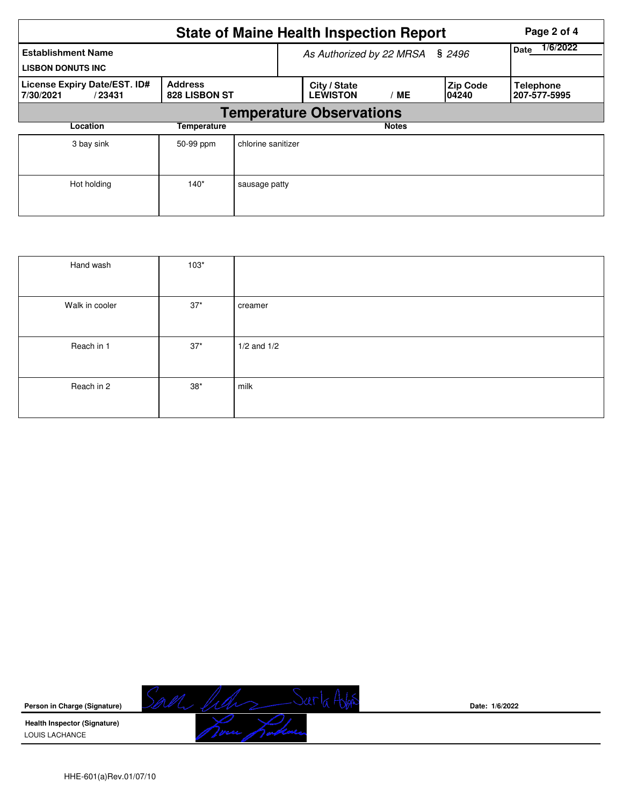|                                                       | <b>State of Maine Health Inspection Report</b> |                                 | Page 2 of 4             |                           |                                  |  |  |  |  |  |
|-------------------------------------------------------|------------------------------------------------|---------------------------------|-------------------------|---------------------------|----------------------------------|--|--|--|--|--|
| <b>Establishment Name</b><br><b>LISBON DONUTS INC</b> |                                                | As Authorized by 22 MRSA § 2496 | 1/6/2022<br><b>Date</b> |                           |                                  |  |  |  |  |  |
| License Expiry Date/EST. ID#<br>7/30/2021<br>/23431   | 828 LISBON ST                                  | City / State<br><b>LEWISTON</b> | / ME                    | <b>Zip Code</b><br>104240 | <b>Telephone</b><br>207-577-5995 |  |  |  |  |  |
| <b>Temperature Observations</b>                       |                                                |                                 |                         |                           |                                  |  |  |  |  |  |
| Location                                              | <b>Temperature</b>                             |                                 |                         | <b>Notes</b>              |                                  |  |  |  |  |  |
| 3 bay sink                                            | 50-99 ppm                                      | chlorine sanitizer              |                         |                           |                                  |  |  |  |  |  |
| Hot holding                                           | $140*$                                         | sausage patty                   |                         |                           |                                  |  |  |  |  |  |

| Hand wash      | $103*$ |                 |
|----------------|--------|-----------------|
| Walk in cooler | $37*$  | creamer         |
| Reach in 1     | $37*$  | $1/2$ and $1/2$ |
| Reach in 2     | $38*$  | milk            |



**Date: 1/6/2022**

HHE-601(a)Rev.01/07/10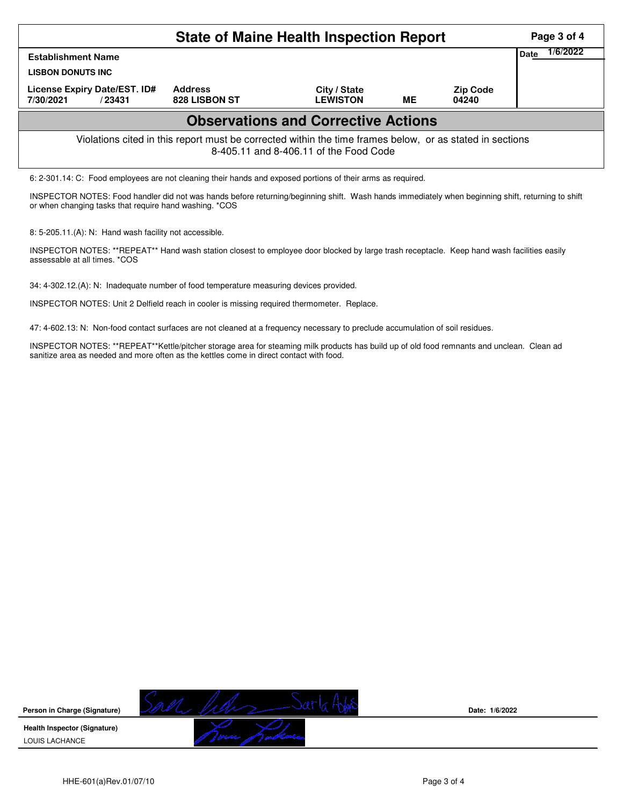| <b>State of Maine Health Inspection Report</b>                                                                                                     |                                 |                                 |    |                          |                  |  |  |  |  |
|----------------------------------------------------------------------------------------------------------------------------------------------------|---------------------------------|---------------------------------|----|--------------------------|------------------|--|--|--|--|
| <b>Establishment Name</b><br><b>LISBON DONUTS INC.</b>                                                                                             |                                 |                                 |    |                          | 1/6/2022<br>Date |  |  |  |  |
| License Expiry Date/EST. ID#<br>7/30/2021<br>/ 23431                                                                                               | <b>Address</b><br>828 LISBON ST | City / State<br><b>LEWISTON</b> | ME | <b>Zip Code</b><br>04240 |                  |  |  |  |  |
| <b>Observations and Corrective Actions</b>                                                                                                         |                                 |                                 |    |                          |                  |  |  |  |  |
| Violations cited in this report must be corrected within the time frames below, or as stated in sections<br>8-405.11 and 8-406.11 of the Food Code |                                 |                                 |    |                          |                  |  |  |  |  |
| 6: 2-301.14: C: Food employees are not cleaning their hands and exposed portions of their arms as required.                                        |                                 |                                 |    |                          |                  |  |  |  |  |

INSPECTOR NOTES: Food handler did not was hands before returning/beginning shift. Wash hands immediately when beginning shift, returning to shift or when changing tasks that require hand washing. \*COS

8: 5-205.11.(A): N: Hand wash facility not accessible.

INSPECTOR NOTES: \*\*REPEAT\*\* Hand wash station closest to employee door blocked by large trash receptacle. Keep hand wash facilities easily assessable at all times. \*COS

34: 4-302.12.(A): N: Inadequate number of food temperature measuring devices provided.

INSPECTOR NOTES: Unit 2 Delfield reach in cooler is missing required thermometer. Replace.

47: 4-602.13: N: Non-food contact surfaces are not cleaned at a frequency necessary to preclude accumulation of soil residues.

INSPECTOR NOTES: \*\*REPEAT\*\*Kettle/pitcher storage area for steaming milk products has build up of old food remnants and unclean. Clean ad sanitize area as needed and more often as the kettles come in direct contact with food.



**Date: 1/6/2022**